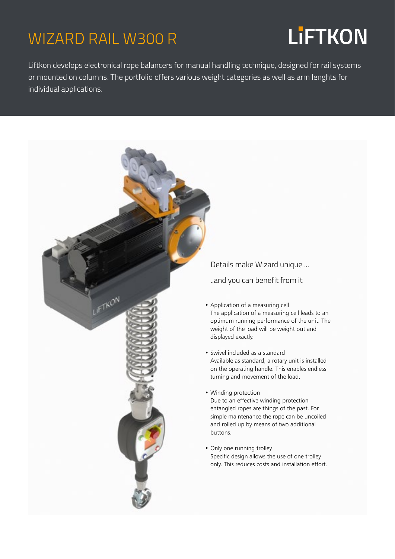### WIZARD RAIL W300 R

# **LiFTKON**

Liftkon develops electronical rope balancers for manual handling technique, designed for rail systems or mounted on columns. The portfolio offers various weight categories as well as arm lenghts for individual applications.



Details make Wizard unique ...

..and you can benefit from it

- Application of a measuring cell The application of a measuring cell leads to an optimum running performance of the unit. The weight of the load will be weight out and displayed exactly.
- Swivel included as a standard Available as standard, a rotary unit is installed on the operating handle. This enables endless turning and movement of the load.
- Winding protection Due to an effective winding protection entangled ropes are things of the past. For simple maintenance the rope can be uncoiled and rolled up by means of two additional
- Only one running trolley Specific design allows the use of one trolley only. This reduces costs and installation effort.